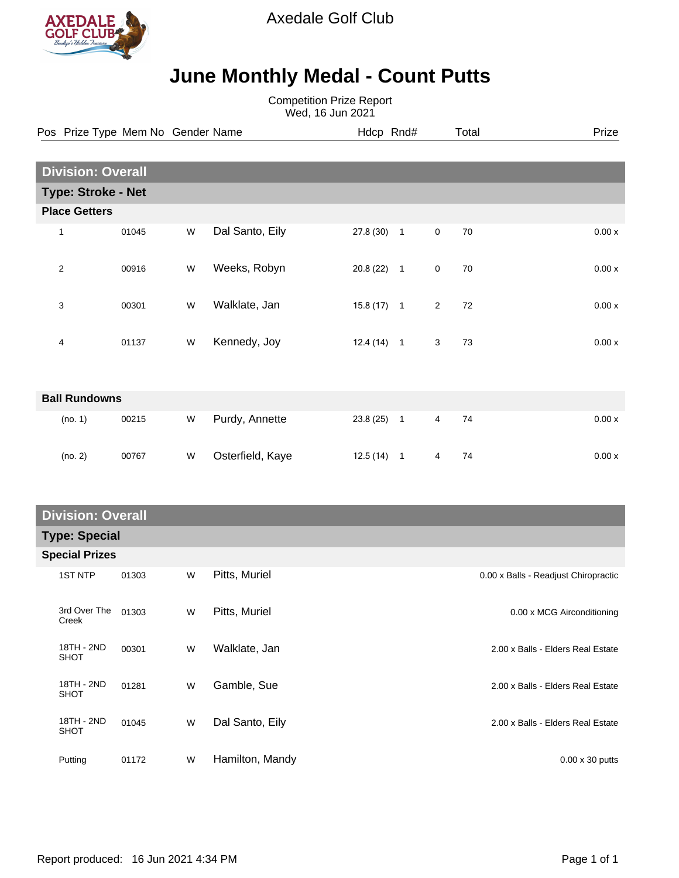

Axedale Golf Club

## **June Monthly Medal - Count Putts**

Competition Prize Report Wed, 16 Jun 2021

| Pos Prize Type Mem No Gender Name |                |       |   |                  | Hdcp Rnd#    |                          |             | Total |       |  |  |
|-----------------------------------|----------------|-------|---|------------------|--------------|--------------------------|-------------|-------|-------|--|--|
|                                   |                |       |   |                  |              |                          |             |       |       |  |  |
| <b>Division: Overall</b>          |                |       |   |                  |              |                          |             |       |       |  |  |
| <b>Type: Stroke - Net</b>         |                |       |   |                  |              |                          |             |       |       |  |  |
| <b>Place Getters</b>              |                |       |   |                  |              |                          |             |       |       |  |  |
|                                   | 1              | 01045 | W | Dal Santo, Eily  | 27.8 (30)    | $\overline{1}$           | $\mathbf 0$ | 70    | 0.00x |  |  |
|                                   | $\overline{2}$ | 00916 | W | Weeks, Robyn     | 20.8(22)     | $\overline{\phantom{a}}$ | $\mathbf 0$ | 70    | 0.00x |  |  |
|                                   | 3              | 00301 | W | Walklate, Jan    | $15.8(17)$ 1 |                          | 2           | 72    | 0.00x |  |  |
|                                   | 4              | 01137 | W | Kennedy, Joy     | $12.4(14)$ 1 |                          | 3           | 73    | 0.00x |  |  |
| <b>Ball Rundowns</b>              |                |       |   |                  |              |                          |             |       |       |  |  |
|                                   | (no. 1)        | 00215 | W | Purdy, Annette   | 23.8(25)     | $\overline{1}$           | 4           | 74    | 0.00x |  |  |
|                                   | (no. 2)        | 00767 | W | Osterfield, Kaye | 12.5(14)     | $\overline{1}$           | 4           | 74    | 0.00x |  |  |

## **Division: Overall**

| <b>Type: Special</b>  |       |   |                 |                                      |  |  |  |  |
|-----------------------|-------|---|-----------------|--------------------------------------|--|--|--|--|
| <b>Special Prizes</b> |       |   |                 |                                      |  |  |  |  |
| <b>1ST NTP</b>        | 01303 | W | Pitts, Muriel   | 0.00 x Balls - Readjust Chiropractic |  |  |  |  |
| 3rd Over The<br>Creek | 01303 | W | Pitts, Muriel   | 0.00 x MCG Airconditioning           |  |  |  |  |
| 18TH - 2ND<br>SHOT    | 00301 | W | Walklate, Jan   | 2.00 x Balls - Elders Real Estate    |  |  |  |  |
| 18TH - 2ND<br>SHOT    | 01281 | W | Gamble, Sue     | 2.00 x Balls - Elders Real Estate    |  |  |  |  |
| 18TH - 2ND<br>SHOT    | 01045 | W | Dal Santo, Eily | 2.00 x Balls - Elders Real Estate    |  |  |  |  |
| Putting               | 01172 | W | Hamilton, Mandy | $0.00 \times 30$ putts               |  |  |  |  |